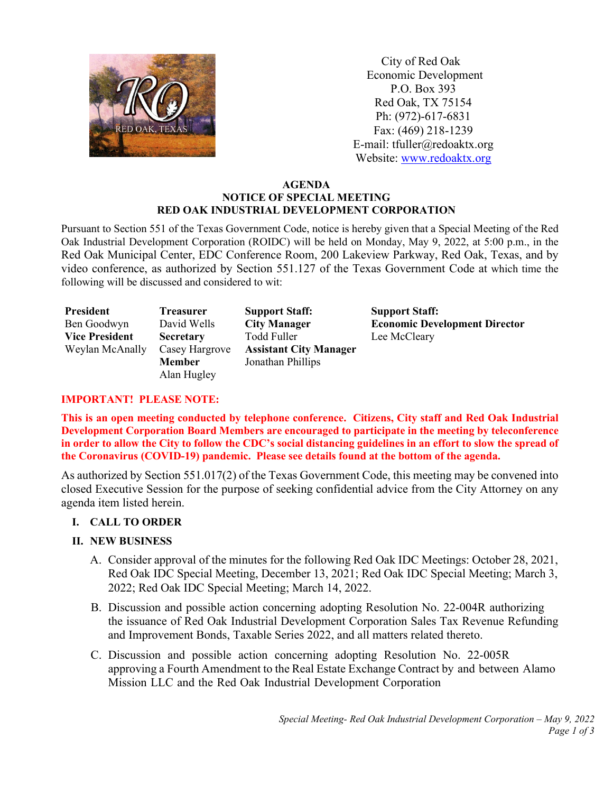

 City of Red Oak Economic Development P.O. Box 393 Red Oak, TX 75154 Ph: (972)-617-6831 Fax: (469) 218-1239 E-mail: tfuller@redoaktx.org Website: [www.redoaktx.org](http://www.redoaktx.org/)

### **AGENDA NOTICE OF SPECIAL MEETING RED OAK INDUSTRIAL DEVELOPMENT CORPORATION**

Pursuant to Section 551 of the Texas Government Code, notice is hereby given that a Special Meeting of the Red Oak Industrial Development Corporation (ROIDC) will be held on Monday, May 9, 2022, at 5:00 p.m., in the Red Oak Municipal Center, EDC Conference Room, 200 Lakeview Parkway, Red Oak, Texas, and by video conference, as authorized by Section 551.127 of the Texas Government Code at which time the following will be discussed and considered to wit:

| President             | Treasurer        | <b>Support Staff:</b>         | <b>Support Staff:</b>                |
|-----------------------|------------------|-------------------------------|--------------------------------------|
| Ben Goodwyn           | David Wells      | <b>City Manager</b>           | <b>Economic Development Director</b> |
| <b>Vice President</b> | <b>Secretary</b> | Todd Fuller                   | Lee McCleary                         |
| Weylan McAnally       | Casey Hargrove   | <b>Assistant City Manager</b> |                                      |
|                       | <b>Member</b>    | Jonathan Phillips             |                                      |
|                       | Alan Hugley      |                               |                                      |

## **IMPORTANT! PLEASE NOTE:**

**This is an open meeting conducted by telephone conference. Citizens, City staff and Red Oak Industrial Development Corporation Board Members are encouraged to participate in the meeting by teleconference in order to allow the City to follow the CDC's social distancing guidelines in an effort to slow the spread of the Coronavirus (COVID-19) pandemic. Please see details found at the bottom of the agenda.**

As authorized by Section 551.017(2) of the Texas Government Code, this meeting may be convened into closed Executive Session for the purpose of seeking confidential advice from the City Attorney on any agenda item listed herein.

# **I. CALL TO ORDER**

### **II. NEW BUSINESS**

- A. Consider approval of the minutes for the following Red Oak IDC Meetings: October 28, 2021, Red Oak IDC Special Meeting, December 13, 2021; Red Oak IDC Special Meeting; March 3, 2022; Red Oak IDC Special Meeting; March 14, 2022.
- B. Discussion and possible action concerning adopting Resolution No. 22-004R authorizing the issuance of Red Oak Industrial Development Corporation Sales Tax Revenue Refunding and Improvement Bonds, Taxable Series 2022, and all matters related thereto.
- C. Discussion and possible action concerning adopting Resolution No. 22-005R approving a Fourth Amendment to the Real Estate Exchange Contract by and between Alamo Mission LLC and the Red Oak Industrial Development Corporation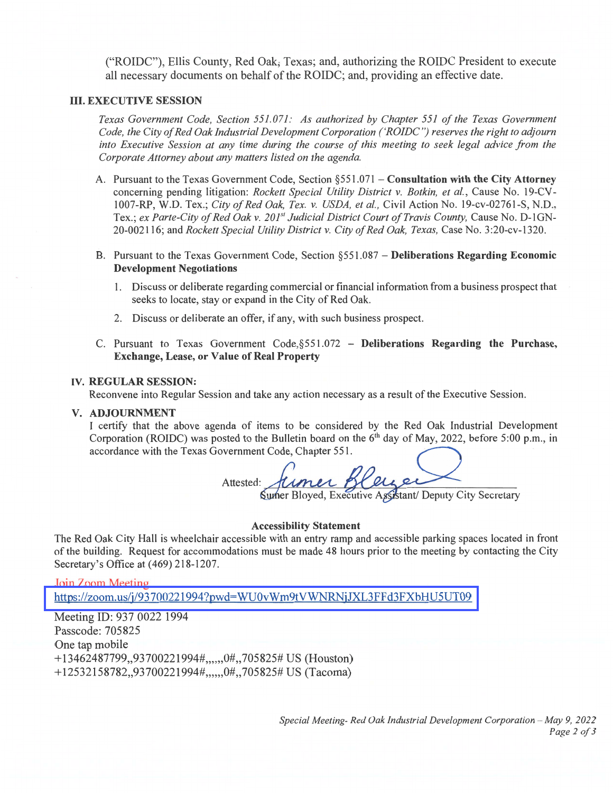("ROIDC"), Ellis County, Red Oak, Texas; and, authorizing the ROIDC President to execute all necessary documents on behalf of the ROIDC; and, providing an effective date.

#### **III. EXECUTIVE SESSION**

Texas Government Code, Section 551.071: As authorized by Chapter 551 of the Texas Government Code, the City of Red Oak Industrial Development Corporation ('ROIDC") reserves the right to adjourn into Executive Session at any time during the course of this meeting to seek legal advice from the Corporate Attorney about any matters listed on the agenda.

- A. Pursuant to the Texas Government Code, Section §551.071 Consultation with the City Attorney concerning pending litigation: Rockett Special Utility District v. Botkin, et al., Cause No. 19-CV-1007-RP, W.D. Tex.; City of Red Oak, Tex. v. USDA, et al., Civil Action No. 19-cv-02761-S, N.D., Tex.; ex Parte-City of Red Oak v. 201<sup>st</sup> Judicial District Court of Travis County, Cause No. D-1GN-20-002116; and Rockett Special Utility District v. City of Red Oak, Texas, Case No. 3:20-cv-1320.
- B. Pursuant to the Texas Government Code, Section  $\S 551.087 -$  Deliberations Regarding Economic **Development Negotiations** 
	- 1. Discuss or deliberate regarding commercial or financial information from a business prospect that seeks to locate, stay or expand in the City of Red Oak.
	- 2. Discuss or deliberate an offer, if any, with such business prospect.
- C. Pursuant to Texas Government Code, §551.072 Deliberations Regarding the Purchase, **Exchange, Lease, or Value of Real Property**

#### **IV. REGULAR SESSION:**

Reconvene into Regular Session and take any action necessary as a result of the Executive Session.

#### V. ADJOURNMENT

I certify that the above agenda of items to be considered by the Red Oak Industrial Development Corporation (ROIDC) was posted to the Bulletin board on the 6<sup>th</sup> day of May, 2022, before 5:00 p.m., in accordance with the Texas Government Code, Chapter 551.

Attested: <u>Jumer Bleyer</u>

#### **Accessibility Statement**

The Red Oak City Hall is wheelchair accessible with an entry ramp and accessible parking spaces located in front of the building. Request for accommodations must be made 48 hours prior to the meeting by contacting the City Secretary's Office at (469) 218-1207.

**Join Zoom Meeting** https://zoom.us/j/93700221994?pwd=WU0vWm9tVWNRNjJXL3FFd3FXbHU5UT09

Meeting ID: 937 0022 1994 Passcode: 705825 One tap mobile +13462487799,,93700221994#,,,,,,0#,,705825# US (Houston) +12532158782,,93700221994#,,,,,,0#,,705825# US (Tacoma)